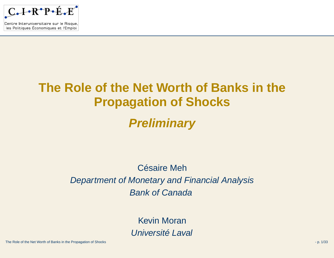

Centre Interuniversitaire sur le Risque, les Politiques Économiques et l'Emploi

# **The Role of the Net Worth of Banks in thePropagation of Shocks**

#### **Preliminary**

#### Césaire MehDepartment of Monetary and Financial AnalysisBank of Canada

Kevin MoranUniversité Laval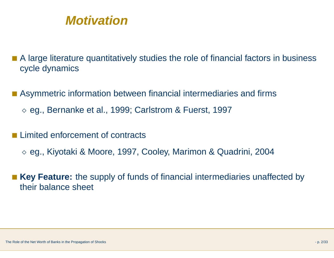

- A large literature quantitatively studies the role of financial factors in business cycle dynamics
- Asymmetric information between financial intermediaries and firms
	- $\diamond$  eg., Bernanke et al., 1999; Carlstrom & Fuerst, 1997
- Limited enforcement of contracts
	- $\diamond$  eg., Kiyotaki & Moore, 1997, Cooley, Marimon & Quadrini, 2004
- ■ **Key Feature:** the supply of funds of financial intermediaries unaffected bytheir balance sheet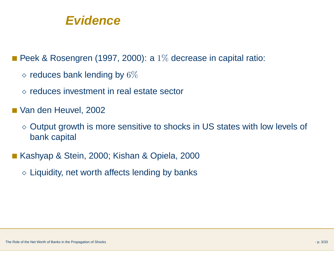#### **Evidence**

■ Peek & Rosengren (1997, 2000): a  $1\%$  decrease in capital ratio:

- $\diamond$  reduces bank lending by  $6\%$
- $\diamond$  reduces investment in real estate sector
- Van den Heuvel, 2002
	- $\diamond$  Output growth is more sensitive to shocks in US states with low levels of bank capital
- Kashyap & Stein, 2000; Kishan & Opiela, 2000
	- $\diamond$  Liquidity, net worth affects lending by banks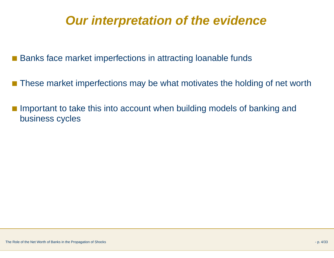# **Our interpretation of the evidence**

■ Banks face market imperfections in attracting loanable funds

- These market imperfections may be what motivates the holding of net worth
- Important to take this into account when building models of banking and business cycles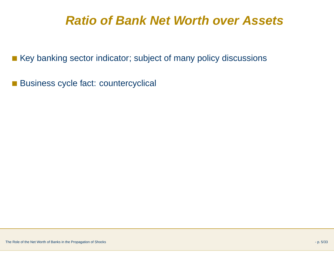# **Ratio of Bank Net Worth over Assets**

■ Key banking sector indicator; subject of many policy discussions

■ Business cycle fact: countercyclical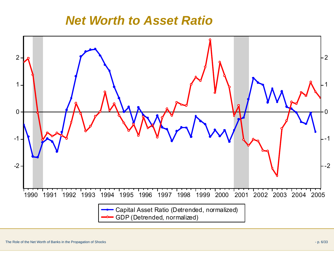# *Net Worth to Asset Ratio*

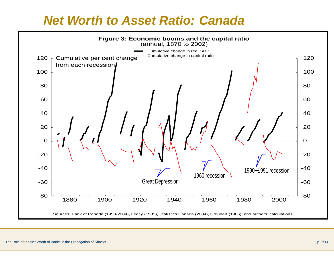#### **Net Worth to Asset Ratio: Canada**

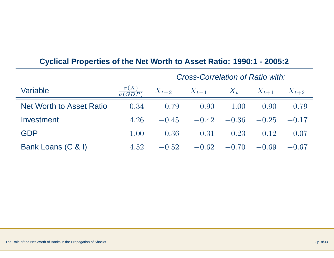|                                 | Cross-Correlation of Ratio with: |         |                                     |                         |                     |           |
|---------------------------------|----------------------------------|---------|-------------------------------------|-------------------------|---------------------|-----------|
| Variable                        | $\frac{\sigma(X)}{\sigma(GDP)}$  |         | $X_{t-2}$ $X_{t-1}$ $X_t$ $X_{t+1}$ |                         |                     | $X_{t+2}$ |
| <b>Net Worth to Asset Ratio</b> | 0.34                             | 0.79    | 0.90                                | 1.00                    | 0.90                | 0.79      |
| Investment                      | 4.26                             | $-0.45$ |                                     |                         | $-0.42 -0.36 -0.25$ | $-0.17$   |
| <b>GDP</b>                      | 1.00                             | $-0.36$ |                                     |                         | $-0.31 -0.23 -0.12$ | $-0.07$   |
| Bank Loans (C & I)              | 4.52                             | $-0.52$ |                                     | $-0.62$ $-0.70$ $-0.69$ |                     | $-0.67$   |

#### **Cyclical Properties of the Net Worth to Asset Ratio: 1990:1 - 2005:2**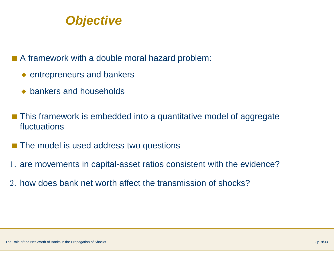

- A framework with a double moral hazard problem:
	- ◆ entrepreneurs and bankers
	- ◆ bankers and households
- This framework is embedded into a quantitative model of aggregate fluctuations
- The model is used address two questions
- 1. are movements in capital-asset ratios consistent with the evidence?
- 2. how does bank net worth affect the transmission of shocks?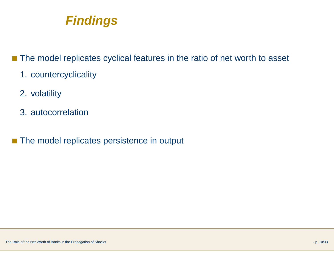

- The model replicates cyclical features in the ratio of net worth to asset
	- 1. countercyclicality
	- 2. volatility
	- 3. autocorrelation
- ■The model replicates persistence in output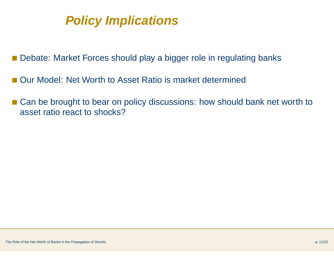# **Policy Implications**

- Debate: Market Forces should play a bigger role in regulating banks
- Our Model: Net Worth to Asset Ratio is market determined
- Can be brought to bear on policy discussions: how should bank net worth to asset ratio react to shocks?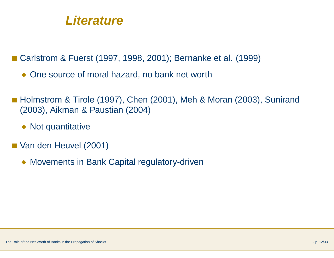#### **Literature**

■ Carlstrom & Fuerst (1997, 1998, 2001); Bernanke et al. (1999)

- ◆ One source of moral hazard, no bank net worth
- Holmstrom & Tirole (1997), Chen (2001), Meh & Moran (2003), Sunirand (2003), Aikman & Paustian (2004)
	- ◆ Not quantitative
- Van den Heuvel (2001)
	- ◆ Movements in Bank Capital regulatory-driven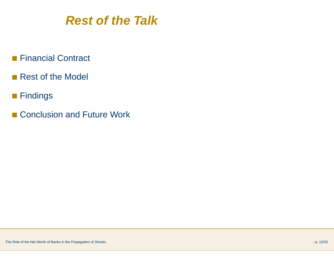

- Financial Contract
- Rest of the Model
- Findings
- Conclusion and Future Work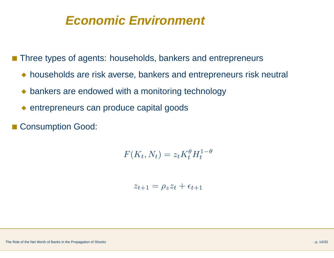#### **Economic Environment**

■ Three types of agents: households, bankers and entrepreneurs

- ◆ households are risk averse, bankers and entrepreneurs risk neutral
- ◆ bankers are endowed with a monitoring technology
- ◆ entrepreneurs can produce capital goods
- ■Consumption Good:

$$
F(K_t, N_t) = z_t K_t^{\theta} H_t^{1-\theta}
$$

$$
z_{t+1} = \rho_z z_t + \epsilon_{t+1}
$$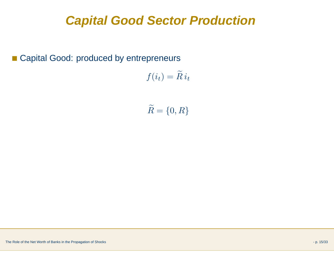# **Capital Good Sector Production**

■ Capital Good: produced by entrepreneurs

$$
f(i_t) = \widetilde{R} i_t
$$

 $\widetilde{R}$  $= \{0, R\}$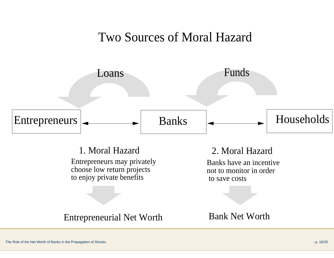#### Two Sources of Moral Hazard



1. Moral HazardEntrepreneurs may privately choose low return projects to enjoy private benefits

2. Moral Hazard

 Banks have an incentive not to monitor in orderto save costs

Entrepreneurial Net Worth

Bank Net Worth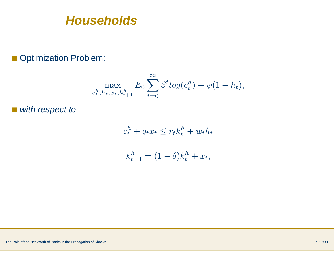**Households**

#### ■ Optimization Problem:

$$
\max_{c_t^h, h_t, x_t, k_{t+1}^h} E_0 \sum_{t=0}^{\infty} \beta^t \log(c_t^h) + \psi(1 - h_t),
$$

■ with respect to

 $c_t^h + q_t x_t \leq r_t k_t^h + w_t h_t$ 

$$
k_{t+1}^h = (1 - \delta)k_t^h + x_t,
$$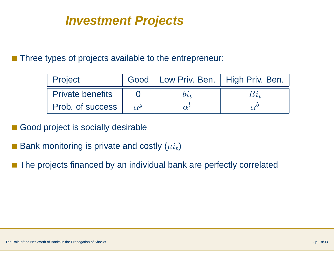# **Investment Projects**

■ Three types of projects available to the entrepreneur:

| Project                 |              | Good   Low Priv. Ben.   High Priv. Ben. |  |
|-------------------------|--------------|-----------------------------------------|--|
| <b>Private benefits</b> |              |                                         |  |
| Prob. of success        | $\alpha^{g}$ |                                         |  |

- ■Good project is socially desirable
- Bank monitoring is private and costly  $(\mu i_t)$
- The projects financed by an individual bank are perfectly correlated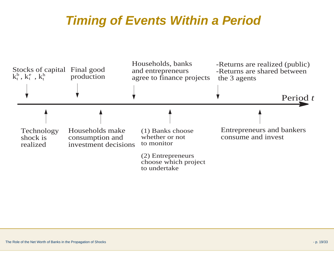# **Timing of Events Within <sup>a</sup> Period**

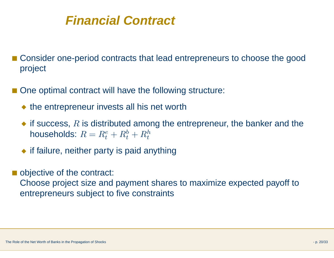## **Financial Contract**

- Consider one-period contracts that lead entrepreneurs to choose the good project
- ■ One optimal contract will have the following structure:
	- ◆ the entrepreneur invests all his net worth
	- if success,  $R$  is distributed among the entrepreneur, the banker and the have abolder  $R$ households:  $R = R_t^e + R_t^b + R_t^h$
	- ◆ if failure, neither party is paid anything
- objective of the contract:

Choose project size and payment shares to maximize expected payoff to entrepreneurs subject to five constraints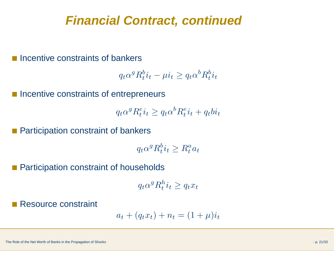#### **Financial Contract, continued**

■ Incentive constraints of bankers

$$
q_t \alpha^g R_t^b i_t - \mu i_t \ge q_t \alpha^b R_t^b i_t
$$

■ Incentive constraints of entrepreneurs

$$
q_t \alpha^g R_t^e i_t \ge q_t \alpha^b R_t^e i_t + q_t b i_t
$$

Participation constraint of bankers

 $q_t \alpha^g R_t^b i_t \geq R_t^a a_t$ 

■ Participation constraint of households

 $q_t \alpha^g R_t^h i_t \geq q_t x_t$ 

■Resource constraint

$$
a_t + (q_t x_t) + n_t = (1 + \mu)i_t
$$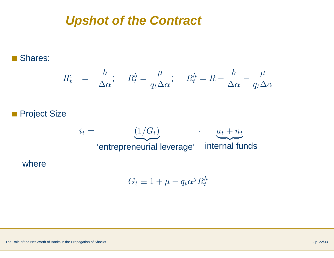#### **Upshot of the Contract**

#### Shares:

$$
R_t^e = \frac{b}{\Delta \alpha}; \quad R_t^b = \frac{\mu}{q_t \Delta \alpha}; \quad R_t^h = R - \frac{b}{\Delta \alpha} - \frac{\mu}{q_t \Delta \alpha}
$$

#### Project Size

where



$$
G_t \equiv 1 + \mu - q_t \alpha^g R_t^h
$$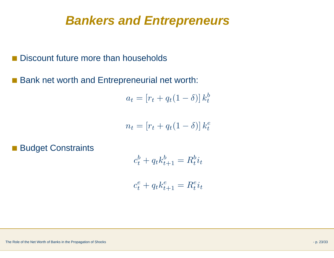#### **Bankers and Entrepreneurs**

■ Discount future more than households

■ Bank net worth and Entrepreneurial net worth:

$$
a_t = [r_t + q_t(1 - \delta)] k_t^b
$$

$$
n_t = [r_t + q_t(1 - \delta)] k_t^e
$$

■ Budget Constraints

$$
c_t^b + q_t k_{t+1}^b = R_t^b i_t
$$

$$
c_t^e + q_t k_{t+1}^e = R_t^e i_t
$$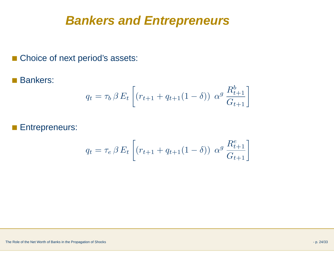#### **Bankers and Entrepreneurs**

- Choice of next period's assets:
- Bankers:

$$
q_t = \tau_b \beta E_t \left[ (r_{t+1} + q_{t+1}(1 - \delta)) \alpha^g \frac{R_{t+1}^b}{G_{t+1}} \right]
$$

■Entrepreneurs:

$$
q_t = \tau_e \beta E_t \left[ (r_{t+1} + q_{t+1}(1 - \delta)) \alpha^g \frac{R_{t+1}^e}{G_{t+1}} \right]
$$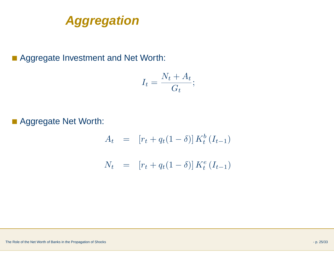

■ Aggregate Investment and Net Worth:

$$
I_t = \frac{N_t + A_t}{G_t};
$$

■ Aggregate Net Worth:

$$
A_t = [r_t + q_t(1 - \delta)] K_t^b(I_{t-1})
$$
  

$$
N_t = [r_t + q_t(1 - \delta)] K_t^e(I_{t-1})
$$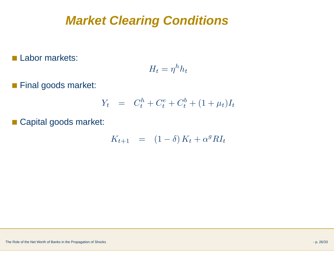# **Market Clearing Conditions**

■ Labor markets:

$$
H_t = \eta^h h_t
$$

■ Final goods market:

$$
Y_t = C_t^h + C_t^e + C_t^b + (1 + \mu_t)I_t
$$

■ Capital goods market:

$$
K_{t+1} = (1 - \delta) K_t + \alpha^g R I_t
$$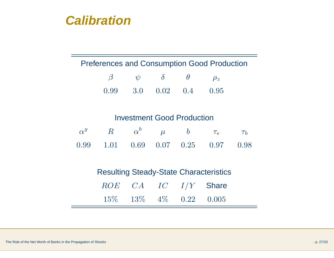

| $\beta$ | $\psi$ |                | $\theta$ | $\rho_z$ |
|---------|--------|----------------|----------|----------|
| 0.99    |        | 3.0 $0.02$ 0.4 |          | 0.95     |

#### Investment Good Production

|  |  | $\alpha^g \qquad R \qquad \alpha^b \qquad \mu \qquad b \qquad \tau_e \qquad \tau_b$ |  |
|--|--|-------------------------------------------------------------------------------------|--|
|  |  | $0.99$ $1.01$ $0.69$ $0.07$ $0.25$ $0.97$ $0.98$                                    |  |

Resulting Steady-State CharacteristicsROE CA IC I/Y**Share** 15% 13% 4% <sup>0</sup>.<sup>22</sup> <sup>0</sup>.<sup>005</sup>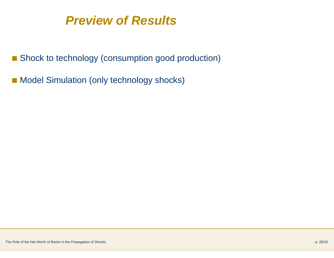### **Preview of Results**

- Shock to technology (consumption good production)
- Model Simulation (only technology shocks)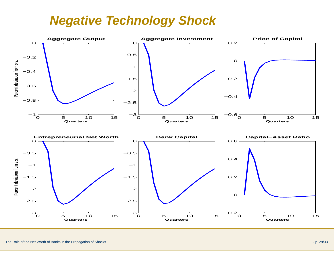## **Negative Technology Shock**

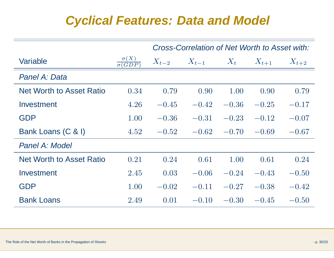### **Cyclical Features: Data and Model**

|                                 |                                         | Cross-Correlation of Net Worth to Asset with: |           |         |           |           |
|---------------------------------|-----------------------------------------|-----------------------------------------------|-----------|---------|-----------|-----------|
| Variable                        | $\sigma(X)$<br>$\overline{\sigma(GDP)}$ | $X_{t-2}$                                     | $X_{t-1}$ | $X_t$   | $X_{t+1}$ | $X_{t+2}$ |
| Panel A: Data                   |                                         |                                               |           |         |           |           |
| <b>Net Worth to Asset Ratio</b> | 0.34                                    | 0.79                                          | 0.90      | 1.00    | 0.90      | 0.79      |
| Investment                      | 4.26                                    | $-0.45$                                       | $-0.42$   | $-0.36$ | $-0.25$   | $-0.17$   |
| <b>GDP</b>                      | 1.00                                    | $-0.36$                                       | $-0.31$   | $-0.23$ | $-0.12$   | $-0.07$   |
| Bank Loans (C & I)              | 4.52                                    | $-0.52$                                       | $-0.62$   | $-0.70$ | $-0.69$   | $-0.67$   |
| Panel A: Model                  |                                         |                                               |           |         |           |           |
| <b>Net Worth to Asset Ratio</b> | 0.21                                    | 0.24                                          | 0.61      | 1.00    | 0.61      | 0.24      |
| Investment                      | 2.45                                    | 0.03                                          | $-0.06$   | $-0.24$ | $-0.43$   | $-0.50$   |
| <b>GDP</b>                      | 1.00                                    | $-0.02$                                       | $-0.11$   | $-0.27$ | $-0.38$   | $-0.42$   |
| <b>Bank Loans</b>               | 2.49                                    | 0.01                                          | $-0.10$   | $-0.30$ | $-0.45$   | $-0.50$   |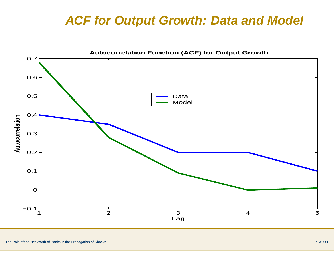### **ACF for Output Growth: Data and Model**

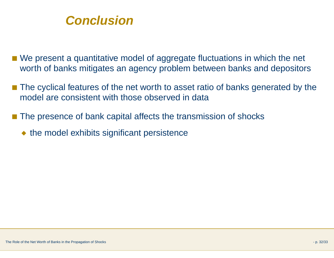

- We present a quantitative model of aggregate fluctuations in which the net worth of banks mitigates an agency problem between banks and depositors
- ■■ The cyclical features of the net worth to asset ratio of banks generated by the model are consistent with those observed in data
- The presence of bank capital affects the transmission of shocks
	- ◆ the model exhibits significant persistence